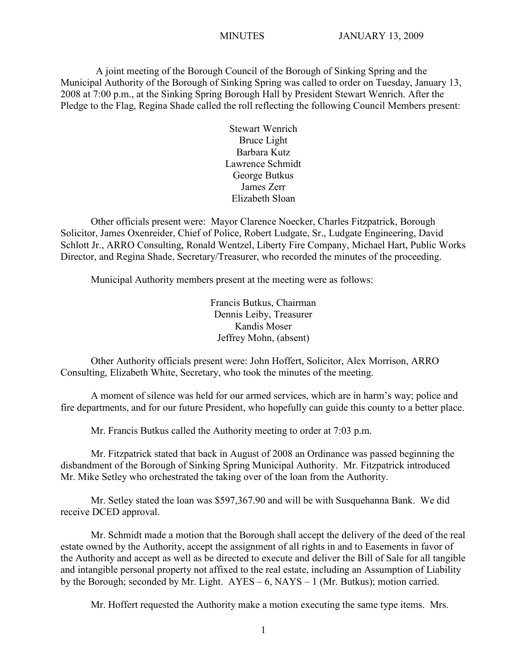A joint meeting of the Borough Council of the Borough of Sinking Spring and the Municipal Authority of the Borough of Sinking Spring was called to order on Tuesday, January 13, 2008 at 7:00 p.m., at the Sinking Spring Borough Hall by President Stewart Wenrich. After the Pledge to the Flag, Regina Shade called the roll reflecting the following Council Members present:

> Stewart Wenrich Bruce Light Barbara Kutz Lawrence Schmidt George Butkus James Zerr Elizabeth Sloan

Other officials present were: Mayor Clarence Noecker, Charles Fitzpatrick, Borough Solicitor, James Oxenreider, Chief of Police, Robert Ludgate, Sr., Ludgate Engineering, David Schlott Jr., ARRO Consulting, Ronald Wentzel, Liberty Fire Company, Michael Hart, Public Works Director, and Regina Shade, Secretary/Treasurer, who recorded the minutes of the proceeding.

Municipal Authority members present at the meeting were as follows:

Francis Butkus, Chairman Dennis Leiby, Treasurer Kandis Moser Jeffrey Mohn, (absent)

Other Authority officials present were: John Hoffert, Solicitor, Alex Morrison, ARRO Consulting, Elizabeth White, Secretary, who took the minutes of the meeting.

A moment of silence was held for our armed services, which are in harm's way; police and fire departments, and for our future President, who hopefully can guide this county to a better place.

Mr. Francis Butkus called the Authority meeting to order at 7:03 p.m.

Mr. Fitzpatrick stated that back in August of 2008 an Ordinance was passed beginning the disbandment of the Borough of Sinking Spring Municipal Authority. Mr. Fitzpatrick introduced Mr. Mike Setley who orchestrated the taking over of the loan from the Authority.

Mr. Setley stated the loan was \$597,367.90 and will be with Susquehanna Bank. We did receive DCED approval.

Mr. Schmidt made a motion that the Borough shall accept the delivery of the deed of the real estate owned by the Authority, accept the assignment of all rights in and to Easements in favor of the Authority and accept as well as be directed to execute and deliver the Bill of Sale for all tangible and intangible personal property not affixed to the real estate, including an Assumption of Liability by the Borough; seconded by Mr. Light. AYES – 6, NAYS – 1 (Mr. Butkus); motion carried.

Mr. Hoffert requested the Authority make a motion executing the same type items. Mrs.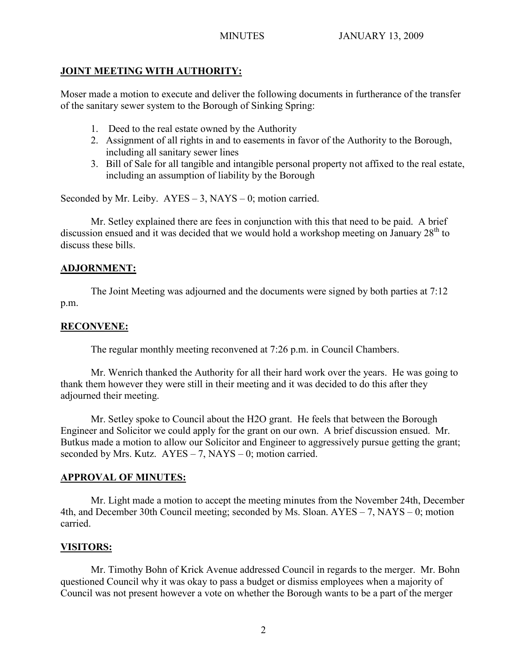# **JOINT MEETING WITH AUTHORITY:**

Moser made a motion to execute and deliver the following documents in furtherance of the transfer of the sanitary sewer system to the Borough of Sinking Spring:

- 1. Deed to the real estate owned by the Authority
- 2. Assignment of all rights in and to easements in favor of the Authority to the Borough, including all sanitary sewer lines
- 3. Bill of Sale for all tangible and intangible personal property not affixed to the real estate, including an assumption of liability by the Borough

Seconded by Mr. Leiby.  $AYES - 3$ ,  $NAYS - 0$ ; motion carried.

Mr. Setley explained there are fees in conjunction with this that need to be paid. A brief discussion ensued and it was decided that we would hold a workshop meeting on January  $28<sup>th</sup>$  to discuss these bills.

## **ADJORNMENT:**

The Joint Meeting was adjourned and the documents were signed by both parties at 7:12 p.m.

## **RECONVENE:**

The regular monthly meeting reconvened at 7:26 p.m. in Council Chambers.

Mr. Wenrich thanked the Authority for all their hard work over the years. He was going to thank them however they were still in their meeting and it was decided to do this after they adjourned their meeting.

Mr. Setley spoke to Council about the H2O grant. He feels that between the Borough Engineer and Solicitor we could apply for the grant on our own. A brief discussion ensued. Mr. Butkus made a motion to allow our Solicitor and Engineer to aggressively pursue getting the grant; seconded by Mrs. Kutz.  $AYES - 7$ , NAYS – 0; motion carried.

# **APPROVAL OF MINUTES:**

Mr. Light made a motion to accept the meeting minutes from the November 24th, December 4th, and December 30th Council meeting; seconded by Ms. Sloan. AYES – 7, NAYS – 0; motion carried.

# **VISITORS:**

Mr. Timothy Bohn of Krick Avenue addressed Council in regards to the merger. Mr. Bohn questioned Council why it was okay to pass a budget or dismiss employees when a majority of Council was not present however a vote on whether the Borough wants to be a part of the merger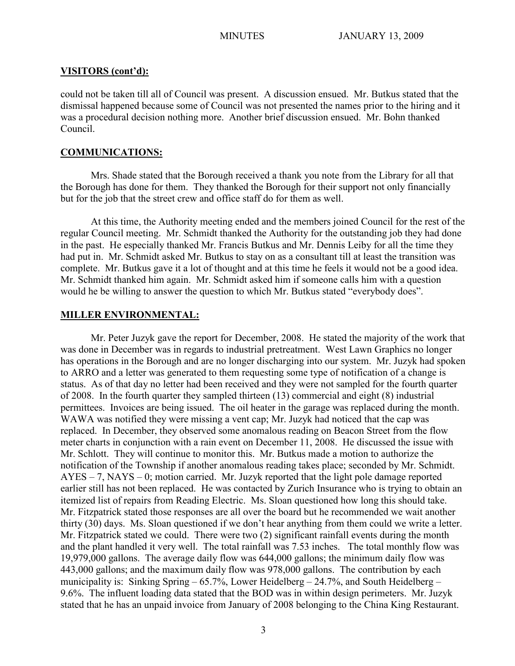#### **VISITORS (cont'd):**

could not be taken till all of Council was present. A discussion ensued. Mr. Butkus stated that the dismissal happened because some of Council was not presented the names prior to the hiring and it was a procedural decision nothing more. Another brief discussion ensued. Mr. Bohn thanked Council.

## **COMMUNICATIONS:**

Mrs. Shade stated that the Borough received a thank you note from the Library for all that the Borough has done for them. They thanked the Borough for their support not only financially but for the job that the street crew and office staff do for them as well.

At this time, the Authority meeting ended and the members joined Council for the rest of the regular Council meeting. Mr. Schmidt thanked the Authority for the outstanding job they had done in the past. He especially thanked Mr. Francis Butkus and Mr. Dennis Leiby for all the time they had put in. Mr. Schmidt asked Mr. Butkus to stay on as a consultant till at least the transition was complete. Mr. Butkus gave it a lot of thought and at this time he feels it would not be a good idea. Mr. Schmidt thanked him again. Mr. Schmidt asked him if someone calls him with a question would he be willing to answer the question to which Mr. Butkus stated "everybody does".

#### **MILLER ENVIRONMENTAL:**

Mr. Peter Juzyk gave the report for December, 2008. He stated the majority of the work that was done in December was in regards to industrial pretreatment. West Lawn Graphics no longer has operations in the Borough and are no longer discharging into our system. Mr. Juzyk had spoken to ARRO and a letter was generated to them requesting some type of notification of a change is status. As of that day no letter had been received and they were not sampled for the fourth quarter of 2008. In the fourth quarter they sampled thirteen (13) commercial and eight (8) industrial permittees. Invoices are being issued. The oil heater in the garage was replaced during the month. WAWA was notified they were missing a vent cap; Mr. Juzyk had noticed that the cap was replaced. In December, they observed some anomalous reading on Beacon Street from the flow meter charts in conjunction with a rain event on December 11, 2008. He discussed the issue with Mr. Schlott. They will continue to monitor this. Mr. Butkus made a motion to authorize the notification of the Township if another anomalous reading takes place; seconded by Mr. Schmidt. AYES – 7, NAYS – 0; motion carried. Mr. Juzyk reported that the light pole damage reported earlier still has not been replaced. He was contacted by Zurich Insurance who is trying to obtain an itemized list of repairs from Reading Electric. Ms. Sloan questioned how long this should take. Mr. Fitzpatrick stated those responses are all over the board but he recommended we wait another thirty (30) days. Ms. Sloan questioned if we don't hear anything from them could we write a letter. Mr. Fitzpatrick stated we could. There were two (2) significant rainfall events during the month and the plant handled it very well. The total rainfall was 7.53 inches. The total monthly flow was 19,979,000 gallons. The average daily flow was 644,000 gallons; the minimum daily flow was 443,000 gallons; and the maximum daily flow was 978,000 gallons. The contribution by each municipality is: Sinking Spring – 65.7%, Lower Heidelberg – 24.7%, and South Heidelberg – 9.6%. The influent loading data stated that the BOD was in within design perimeters. Mr. Juzyk stated that he has an unpaid invoice from January of 2008 belonging to the China King Restaurant.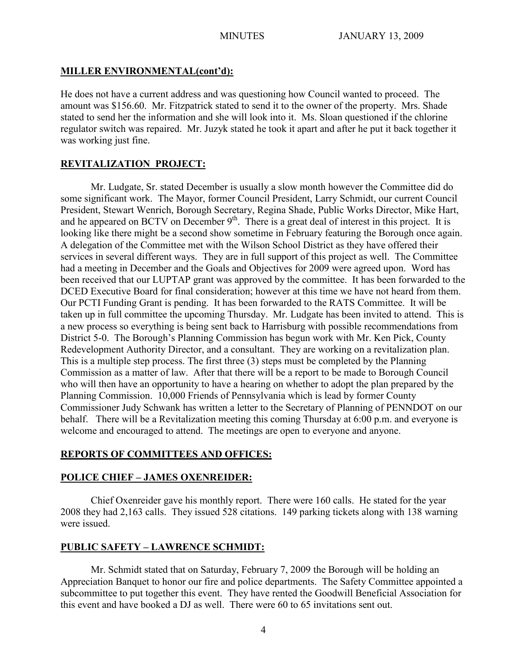## **MILLER ENVIRONMENTAL(cont'd):**

He does not have a current address and was questioning how Council wanted to proceed. The amount was \$156.60. Mr. Fitzpatrick stated to send it to the owner of the property. Mrs. Shade stated to send her the information and she will look into it. Ms. Sloan questioned if the chlorine regulator switch was repaired. Mr. Juzyk stated he took it apart and after he put it back together it was working just fine.

## **REVITALIZATION PROJECT:**

Mr. Ludgate, Sr. stated December is usually a slow month however the Committee did do some significant work. The Mayor, former Council President, Larry Schmidt, our current Council President, Stewart Wenrich, Borough Secretary, Regina Shade, Public Works Director, Mike Hart, and he appeared on BCTV on December  $9<sup>th</sup>$ . There is a great deal of interest in this project. It is looking like there might be a second show sometime in February featuring the Borough once again. A delegation of the Committee met with the Wilson School District as they have offered their services in several different ways. They are in full support of this project as well. The Committee had a meeting in December and the Goals and Objectives for 2009 were agreed upon. Word has been received that our LUPTAP grant was approved by the committee. It has been forwarded to the DCED Executive Board for final consideration; however at this time we have not heard from them. Our PCTI Funding Grant is pending. It has been forwarded to the RATS Committee. It will be taken up in full committee the upcoming Thursday. Mr. Ludgate has been invited to attend. This is a new process so everything is being sent back to Harrisburg with possible recommendations from District 5-0. The Borough's Planning Commission has begun work with Mr. Ken Pick, County Redevelopment Authority Director, and a consultant. They are working on a revitalization plan. This is a multiple step process. The first three (3) steps must be completed by the Planning Commission as a matter of law. After that there will be a report to be made to Borough Council who will then have an opportunity to have a hearing on whether to adopt the plan prepared by the Planning Commission. 10,000 Friends of Pennsylvania which is lead by former County Commissioner Judy Schwank has written a letter to the Secretary of Planning of PENNDOT on our behalf. There will be a Revitalization meeting this coming Thursday at 6:00 p.m. and everyone is welcome and encouraged to attend. The meetings are open to everyone and anyone.

# **REPORTS OF COMMITTEES AND OFFICES:**

# **POLICE CHIEF – JAMES OXENREIDER:**

Chief Oxenreider gave his monthly report. There were 160 calls. He stated for the year 2008 they had 2,163 calls. They issued 528 citations. 149 parking tickets along with 138 warning were issued.

# **PUBLIC SAFETY – LAWRENCE SCHMIDT:**

Mr. Schmidt stated that on Saturday, February 7, 2009 the Borough will be holding an Appreciation Banquet to honor our fire and police departments. The Safety Committee appointed a subcommittee to put together this event. They have rented the Goodwill Beneficial Association for this event and have booked a DJ as well. There were 60 to 65 invitations sent out.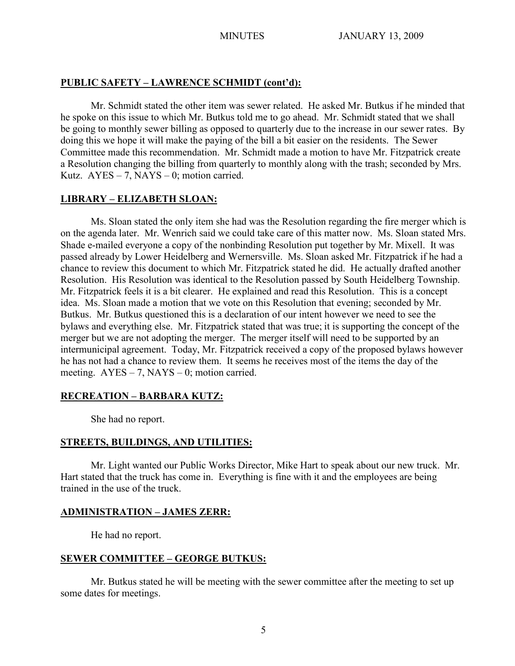## **PUBLIC SAFETY – LAWRENCE SCHMIDT (cont'd):**

Mr. Schmidt stated the other item was sewer related. He asked Mr. Butkus if he minded that he spoke on this issue to which Mr. Butkus told me to go ahead. Mr. Schmidt stated that we shall be going to monthly sewer billing as opposed to quarterly due to the increase in our sewer rates. By doing this we hope it will make the paying of the bill a bit easier on the residents. The Sewer Committee made this recommendation. Mr. Schmidt made a motion to have Mr. Fitzpatrick create a Resolution changing the billing from quarterly to monthly along with the trash; seconded by Mrs. Kutz.  $AYES - 7$ ,  $NAYS - 0$ ; motion carried.

## **LIBRARY – ELIZABETH SLOAN:**

Ms. Sloan stated the only item she had was the Resolution regarding the fire merger which is on the agenda later. Mr. Wenrich said we could take care of this matter now. Ms. Sloan stated Mrs. Shade e-mailed everyone a copy of the nonbinding Resolution put together by Mr. Mixell. It was passed already by Lower Heidelberg and Wernersville. Ms. Sloan asked Mr. Fitzpatrick if he had a chance to review this document to which Mr. Fitzpatrick stated he did. He actually drafted another Resolution. His Resolution was identical to the Resolution passed by South Heidelberg Township. Mr. Fitzpatrick feels it is a bit clearer. He explained and read this Resolution. This is a concept idea. Ms. Sloan made a motion that we vote on this Resolution that evening; seconded by Mr. Butkus. Mr. Butkus questioned this is a declaration of our intent however we need to see the bylaws and everything else. Mr. Fitzpatrick stated that was true; it is supporting the concept of the merger but we are not adopting the merger. The merger itself will need to be supported by an intermunicipal agreement. Today, Mr. Fitzpatrick received a copy of the proposed bylaws however he has not had a chance to review them. It seems he receives most of the items the day of the meeting.  $AYES - 7$ ,  $NAYS - 0$ ; motion carried.

# **RECREATION – BARBARA KUTZ:**

She had no report.

# **STREETS, BUILDINGS, AND UTILITIES:**

Mr. Light wanted our Public Works Director, Mike Hart to speak about our new truck. Mr. Hart stated that the truck has come in. Everything is fine with it and the employees are being trained in the use of the truck.

# **ADMINISTRATION – JAMES ZERR:**

He had no report.

# **SEWER COMMITTEE – GEORGE BUTKUS:**

Mr. Butkus stated he will be meeting with the sewer committee after the meeting to set up some dates for meetings.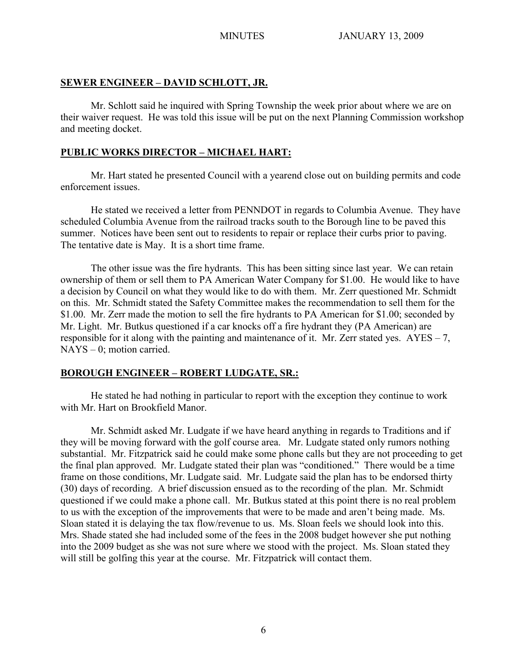#### **SEWER ENGINEER – DAVID SCHLOTT, JR.**

Mr. Schlott said he inquired with Spring Township the week prior about where we are on their waiver request. He was told this issue will be put on the next Planning Commission workshop and meeting docket.

## **PUBLIC WORKS DIRECTOR – MICHAEL HART:**

Mr. Hart stated he presented Council with a yearend close out on building permits and code enforcement issues.

He stated we received a letter from PENNDOT in regards to Columbia Avenue. They have scheduled Columbia Avenue from the railroad tracks south to the Borough line to be paved this summer. Notices have been sent out to residents to repair or replace their curbs prior to paving. The tentative date is May. It is a short time frame.

The other issue was the fire hydrants. This has been sitting since last year. We can retain ownership of them or sell them to PA American Water Company for \$1.00. He would like to have a decision by Council on what they would like to do with them. Mr. Zerr questioned Mr. Schmidt on this. Mr. Schmidt stated the Safety Committee makes the recommendation to sell them for the \$1.00. Mr. Zerr made the motion to sell the fire hydrants to PA American for \$1.00; seconded by Mr. Light. Mr. Butkus questioned if a car knocks off a fire hydrant they (PA American) are responsible for it along with the painting and maintenance of it. Mr. Zerr stated yes.  $AYES - 7$ , NAYS – 0; motion carried.

#### **BOROUGH ENGINEER – ROBERT LUDGATE, SR.:**

He stated he had nothing in particular to report with the exception they continue to work with Mr. Hart on Brookfield Manor.

Mr. Schmidt asked Mr. Ludgate if we have heard anything in regards to Traditions and if they will be moving forward with the golf course area. Mr. Ludgate stated only rumors nothing substantial. Mr. Fitzpatrick said he could make some phone calls but they are not proceeding to get the final plan approved. Mr. Ludgate stated their plan was "conditioned." There would be a time frame on those conditions, Mr. Ludgate said. Mr. Ludgate said the plan has to be endorsed thirty (30) days of recording. A brief discussion ensued as to the recording of the plan. Mr. Schmidt questioned if we could make a phone call. Mr. Butkus stated at this point there is no real problem to us with the exception of the improvements that were to be made and aren't being made. Ms. Sloan stated it is delaying the tax flow/revenue to us. Ms. Sloan feels we should look into this. Mrs. Shade stated she had included some of the fees in the 2008 budget however she put nothing into the 2009 budget as she was not sure where we stood with the project. Ms. Sloan stated they will still be golfing this year at the course. Mr. Fitzpatrick will contact them.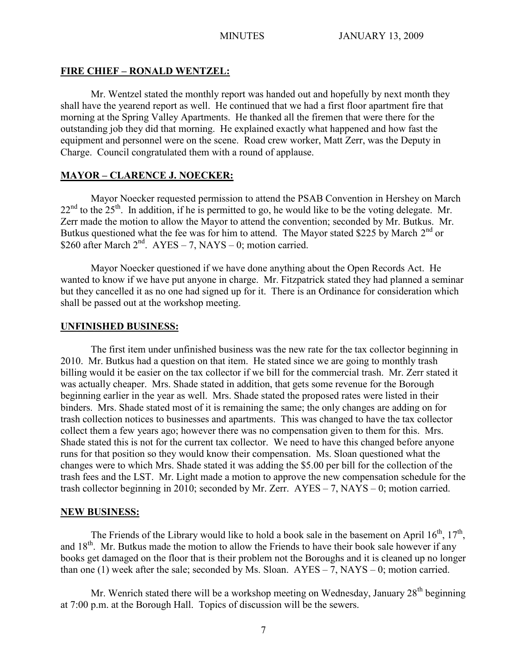#### **FIRE CHIEF – RONALD WENTZEL:**

Mr. Wentzel stated the monthly report was handed out and hopefully by next month they shall have the yearend report as well. He continued that we had a first floor apartment fire that morning at the Spring Valley Apartments. He thanked all the firemen that were there for the outstanding job they did that morning. He explained exactly what happened and how fast the equipment and personnel were on the scene. Road crew worker, Matt Zerr, was the Deputy in Charge. Council congratulated them with a round of applause.

## **MAYOR – CLARENCE J. NOECKER:**

Mayor Noecker requested permission to attend the PSAB Convention in Hershey on March  $22<sup>nd</sup>$  to the  $25<sup>th</sup>$ . In addition, if he is permitted to go, he would like to be the voting delegate. Mr. Zerr made the motion to allow the Mayor to attend the convention; seconded by Mr. Butkus. Mr. Butkus questioned what the fee was for him to attend. The Mayor stated \$225 by March  $2<sup>nd</sup>$  or \$260 after March  $2<sup>nd</sup>$ . AYES – 7, NAYS – 0; motion carried.

Mayor Noecker questioned if we have done anything about the Open Records Act. He wanted to know if we have put anyone in charge. Mr. Fitzpatrick stated they had planned a seminar but they cancelled it as no one had signed up for it. There is an Ordinance for consideration which shall be passed out at the workshop meeting.

#### **UNFINISHED BUSINESS:**

The first item under unfinished business was the new rate for the tax collector beginning in 2010. Mr. Butkus had a question on that item. He stated since we are going to monthly trash billing would it be easier on the tax collector if we bill for the commercial trash. Mr. Zerr stated it was actually cheaper. Mrs. Shade stated in addition, that gets some revenue for the Borough beginning earlier in the year as well. Mrs. Shade stated the proposed rates were listed in their binders. Mrs. Shade stated most of it is remaining the same; the only changes are adding on for trash collection notices to businesses and apartments. This was changed to have the tax collector collect them a few years ago; however there was no compensation given to them for this. Mrs. Shade stated this is not for the current tax collector. We need to have this changed before anyone runs for that position so they would know their compensation. Ms. Sloan questioned what the changes were to which Mrs. Shade stated it was adding the \$5.00 per bill for the collection of the trash fees and the LST. Mr. Light made a motion to approve the new compensation schedule for the trash collector beginning in 2010; seconded by Mr. Zerr. AYES – 7, NAYS – 0; motion carried.

#### **NEW BUSINESS:**

The Friends of the Library would like to hold a book sale in the basement on April  $16^{th}$ ,  $17^{th}$ , and  $18<sup>th</sup>$ . Mr. Butkus made the motion to allow the Friends to have their book sale however if any books get damaged on the floor that is their problem not the Boroughs and it is cleaned up no longer than one (1) week after the sale; seconded by Ms. Sloan.  $AYES - 7$ ,  $NAYS - 0$ ; motion carried.

Mr. Wenrich stated there will be a workshop meeting on Wednesday, January 28<sup>th</sup> beginning at 7:00 p.m. at the Borough Hall. Topics of discussion will be the sewers.